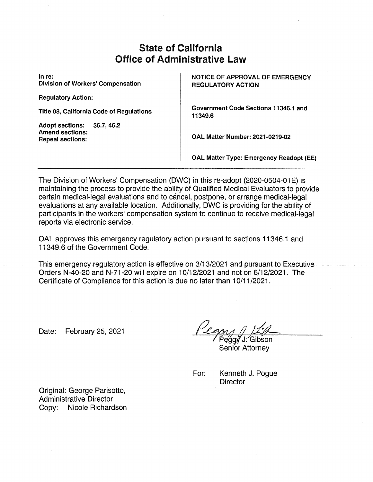# **State of California Office of Administrative Law**

In re: Division of Workers' Compensation

Regulatory Action:

Title 08, California Code of Regulations

Adopt sections: 36.7, 46.2 Amend sections: Repeal sections:

NOTICE OF APPROVAL OF EMERGENCY REGULATORY ACTION

Government Code Sections 11346.1 and 11349.6

OAL Matter Number: 2021-0219-02

OAL Matter Type: Emergency Readopt (EE)

The Division of Workers' Compensation (DWC) in this re-adopt (2020-0504-01E) is maintaining the process to provide the ability of Qualified Medical Evaluators to provide certain medical-legal evaluations and to cancel, postpone, or arrange medical-legal evaluations at any available location. Additionally, DWC is providing for the ability of participants in the workers' compensation system to continue to receive medical-legal reports via electronic service.

OAL approves this emergency regulatory action pursuant to sections 11346.1 and 11349.6 of the Government Code.

This emergency regulatory action is effective on  $3/13/2021$  and pursuant to Executive Orders N-4Q-2d and N-71-20 will expire on 10/12/2021 and not on 6/12/2021. The Certificate of Compliance for this action is due no later than 10/11/2021.

Date: February 25, 2021

'J:∕Gibson Senior Attorney

For: Kenneth J. Pogue **Director** 

Original: George Parisotto, Administrative Director Copy: Nicole Richardson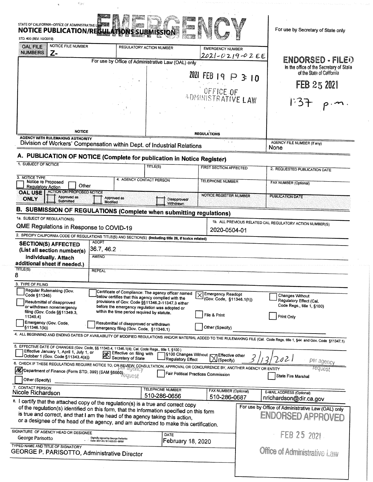| <b>NOTICE PUBLICATION/REGULATI</b><br>STD. 400 (REV. 10/2019)                                                                                                                                                                                                                                                                                                     | STATE OF CALIFORNIA-OFFICE OF ADMINISTRATIVE LARE<br><b>BINIS</b>                                  |                                  |                                                         |                  | For use by Secretary of State only                                      |  |
|-------------------------------------------------------------------------------------------------------------------------------------------------------------------------------------------------------------------------------------------------------------------------------------------------------------------------------------------------------------------|----------------------------------------------------------------------------------------------------|----------------------------------|---------------------------------------------------------|------------------|-------------------------------------------------------------------------|--|
| NOTICE FILE NUMBER<br><b>OAL FILE</b>                                                                                                                                                                                                                                                                                                                             | REGULATORY ACTION NUMBER                                                                           |                                  | <b>EMERGENCY NUMBER</b>                                 |                  |                                                                         |  |
| <b>NUMBERS</b><br>Z-<br>For use by Office of Administrative Law (OAL) only                                                                                                                                                                                                                                                                                        |                                                                                                    | 2021-0219-02EE                   |                                                         | ENDORSED - FILED |                                                                         |  |
|                                                                                                                                                                                                                                                                                                                                                                   |                                                                                                    |                                  |                                                         |                  | In the office of the Secretary of State                                 |  |
|                                                                                                                                                                                                                                                                                                                                                                   |                                                                                                    |                                  | $2021$ FEB 19 $\triangleright$                          | $3 + 0$          | of the State of California                                              |  |
|                                                                                                                                                                                                                                                                                                                                                                   |                                                                                                    |                                  |                                                         |                  | FEB 25 2021                                                             |  |
|                                                                                                                                                                                                                                                                                                                                                                   |                                                                                                    |                                  | <b>UFFICE OF</b><br>ADMINISTRATIVE LAW                  |                  |                                                                         |  |
|                                                                                                                                                                                                                                                                                                                                                                   |                                                                                                    |                                  |                                                         |                  | 1:51                                                                    |  |
|                                                                                                                                                                                                                                                                                                                                                                   |                                                                                                    |                                  |                                                         |                  |                                                                         |  |
|                                                                                                                                                                                                                                                                                                                                                                   |                                                                                                    |                                  |                                                         |                  |                                                                         |  |
| <b>NOTICE</b>                                                                                                                                                                                                                                                                                                                                                     |                                                                                                    |                                  | <b>REGULATIONS</b>                                      |                  |                                                                         |  |
| <b>AGENCY WITH RULEMAKING AUTHORITY</b><br>Division of Workers' Compensation within Dept. of Industrial Relations                                                                                                                                                                                                                                                 |                                                                                                    |                                  |                                                         |                  | AGENCY FILE NUMBER (If any)<br>None                                     |  |
| A. PUBLICATION OF NOTICE (Complete for publication in Notice Register)                                                                                                                                                                                                                                                                                            |                                                                                                    |                                  |                                                         |                  |                                                                         |  |
| 1. SUBJECT OF NOTICE                                                                                                                                                                                                                                                                                                                                              |                                                                                                    | TITLE(S)                         | <b>FIRST SECTION AFFECTED</b>                           |                  |                                                                         |  |
| 3. NOTICE TYPE                                                                                                                                                                                                                                                                                                                                                    |                                                                                                    |                                  |                                                         |                  | 2. REQUESTED PUBLICATION DATE                                           |  |
| Notice re Proposed<br>Other<br><b>Regulatory Action</b>                                                                                                                                                                                                                                                                                                           | 4. AGENCY CONTACT PERSON                                                                           |                                  | <b>TELEPHONE NUMBER</b>                                 |                  | <b>FAX NUMBER (Optional)</b>                                            |  |
| <b>ACTION ON PROPOSED NOTICE</b><br><b>OAL USE</b><br>Approved as<br><b>ONLY</b><br>Submitted                                                                                                                                                                                                                                                                     | Approved as<br>Modified                                                                            | Disapproved/<br><b>Withdrawn</b> | <b>NOTICE REGISTER NUMBER</b>                           |                  | <b>PUBLICATION DATE</b>                                                 |  |
| B. SUBMISSION OF REGULATIONS (Complete when submitting regulations)                                                                                                                                                                                                                                                                                               |                                                                                                    |                                  |                                                         |                  |                                                                         |  |
| 1a. SUBJECT OF REGULATION(S)                                                                                                                                                                                                                                                                                                                                      |                                                                                                    |                                  |                                                         |                  | 1b. ALL PREVIOUS RELATED OAL REGULATORY ACTION NUMBER(S)                |  |
| QME Regulations in Response to COVID-19                                                                                                                                                                                                                                                                                                                           |                                                                                                    |                                  | 2020-0504-01                                            |                  |                                                                         |  |
| 2. SPECIFY CALIFORNIA CODE OF REGULATIONS TITLE(S) AND SECTION(S) (Including title 26, if toxics related)                                                                                                                                                                                                                                                         |                                                                                                    |                                  |                                                         |                  |                                                                         |  |
|                                                                                                                                                                                                                                                                                                                                                                   |                                                                                                    |                                  |                                                         |                  |                                                                         |  |
| <b>ADOPT</b><br><b>SECTION(S) AFFECTED</b>                                                                                                                                                                                                                                                                                                                        |                                                                                                    |                                  |                                                         |                  |                                                                         |  |
| (List all section number(s)<br><b>AMEND</b>                                                                                                                                                                                                                                                                                                                       | 36.7, 46.2                                                                                         |                                  |                                                         |                  |                                                                         |  |
| individually. Attach                                                                                                                                                                                                                                                                                                                                              |                                                                                                    |                                  |                                                         |                  |                                                                         |  |
| <b>REPEAL</b>                                                                                                                                                                                                                                                                                                                                                     |                                                                                                    |                                  |                                                         |                  |                                                                         |  |
|                                                                                                                                                                                                                                                                                                                                                                   |                                                                                                    |                                  |                                                         |                  |                                                                         |  |
| Regular Rulemaking (Gov.                                                                                                                                                                                                                                                                                                                                          | Certificate of Compliance: The agency officer named                                                |                                  |                                                         |                  |                                                                         |  |
| Code §11346)<br>Resubmittal of disapproved                                                                                                                                                                                                                                                                                                                        | below certifies that this agency complied with the                                                 |                                  | <b>Emergency Readopt</b><br>(Gov. Code, §11346.1(h))    |                  | Changes Without<br>Regulatory Effect (Cal.                              |  |
| 3. TYPE OF FILING<br>or withdrawn nonemergency                                                                                                                                                                                                                                                                                                                    | provisions of Gov. Code §§11346.2-11347.3 either<br>before the emergency regulation was adopted or |                                  |                                                         |                  | Code Regs., title 1, §100)                                              |  |
| filing (Gov. Code §§11349.3,<br>11349.4)                                                                                                                                                                                                                                                                                                                          | within the time period required by statute.                                                        |                                  | File & Print                                            |                  | Print Only                                                              |  |
| Emergency (Gov. Code,<br>§11346.1(b))                                                                                                                                                                                                                                                                                                                             | Resubmittal of disapproved or withdrawn<br>emergency filing (Gov. Code, §11346.1)                  |                                  | Other (Specify)                                         |                  |                                                                         |  |
| TITLE(S)                                                                                                                                                                                                                                                                                                                                                          |                                                                                                    |                                  |                                                         |                  |                                                                         |  |
| additional sheet if needed.)<br>8<br>4. ALL BEGINNING AND ENDING DATES OF AVAILABILITY OF MODIFIED REGULATIONS AND/OR MATERIAL ADDED TO THE RULEMAKING FILE (Cal. Code Regs. title 1, §44 and Gov. Code §11347.1)<br>5. EFFECTIVE DATE OF CHANGES (Gov. Code, §§ 11343.4, 11346.1(d); Cal. Code Regs., title 1, §100)<br>Effective January 1, April 1, July 1, or |                                                                                                    |                                  |                                                         |                  |                                                                         |  |
| October 1 (Gov. Code §11343.4(a))                                                                                                                                                                                                                                                                                                                                 | Effective on filing with<br>Secretary of State                                                     | Regulatory Effect                | S100 Changes Without R7<br>Effective other<br>(Specify) |                  | 0Z<br>per agency                                                        |  |
|                                                                                                                                                                                                                                                                                                                                                                   |                                                                                                    |                                  |                                                         |                  | <b>Tequest</b>                                                          |  |
| 6. CHECK IF THESE REGULATIONS REQUIRE NOTICE TO, OR REVIEW CONSULTATION, APPROVAL OR CONCURRENCE BY, ANOTHER AGENCY OR ENTITY<br>$\tilde{\mathscr{M}}$ Department of Finance (Form STD, 399) (SAM §6660)<br>Other (Specify)                                                                                                                                       |                                                                                                    |                                  | Fair Political Practices Commission                     |                  | State Fire Marshal                                                      |  |
|                                                                                                                                                                                                                                                                                                                                                                   |                                                                                                    | <b>TELEPHONE NUMBER</b>          |                                                         |                  |                                                                         |  |
| 7. CONTACT PERSON<br>Nicole Richardson                                                                                                                                                                                                                                                                                                                            |                                                                                                    | 510-286-0656                     | FAX NUMBER (Optional)<br>510-286-0687                   |                  | E-MAIL ADDRESS (Optional)<br>nrichardson@dir.ca.gov                     |  |
|                                                                                                                                                                                                                                                                                                                                                                   |                                                                                                    |                                  |                                                         |                  |                                                                         |  |
| of the regulation(s) identified on this form, that the information specified on this form<br>is true and correct, and that I am the head of the agency taking this action,                                                                                                                                                                                        |                                                                                                    |                                  |                                                         |                  | For use by Office of Administrative Law (OAL) only<br>ENDORSED APPROVED |  |
| or a designee of the head of the agency, and am authorized to make this certification.                                                                                                                                                                                                                                                                            |                                                                                                    |                                  |                                                         |                  |                                                                         |  |
| 8. I certify that the attached copy of the regulation(s) is a true and correct copy<br>SIGNATURE OF AGENCY HEAD OR DESIGNEE<br>George Parisotto<br>TYPED NAME AND TITLE OF SIGNATORY                                                                                                                                                                              | Digitally signed by George Parisotto<br>Date: 2021.02.18 14:55:53 -08'00'                          | DATE<br>February 18, 2020        |                                                         |                  | FEB 25 2021                                                             |  |

 $\psi_{\langle\psi\rangle}$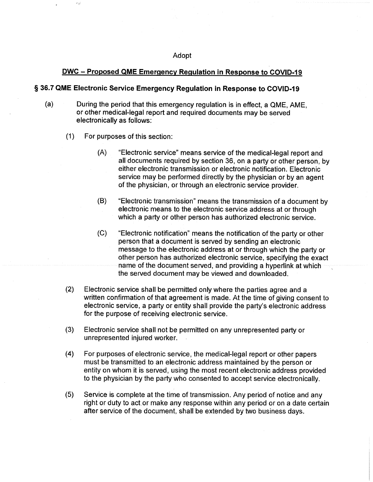#### Adopt

#### DWC —Proposed QME Emergencv Regulation in Response to COVID-19

#### § 36.7 QME Electronic Service Emergency Regulation in Response to COVID-19

- (a) During the period that this emergency regulation is in effect, a QME, AME, or other medical-legal report and required documents may be served electronically as follows;
	- (1) For purposes of this section:
		- (A} "Electronic service" means service of the medical-legal report and all documents required by section 36, on a party or other person, by either electronic transmission or electronic notification. Electronic service may be performed directly by the physician or by an agent of the physician, or through an electronic service provider.
		- (B) "Electronic transmission" means the transmission of a document by electronic means to the electronic service address at or through which a party or other person has authorized electronic service.
		- {C} "E{ectronic notification" means the notification of the party or other person that a document is served by sending an electronic message to the electronic address at or through which the party or other person has authorized electronic service, specifying the exact name of the document served, and providing a hyperlink at which the served document may be viewed and downloaded.
	- (2) Electronic service shall be permitted only where the parties agree and a written confirmation of that agreement is made. At the time of giving consent to electronic service, a party or entity shall provide the party's electronic address for the purpose of receiving electronic service.
	- (3) Electronic service shall not be permitted on any unrepresented party or unrepresented injured worker.
	- (4) For purposes of electronic service, the medical-legal report or other papers must be transmitted to an electronic address maintained by the person or entity on whom it is served, using the most recent electronic address provided to the physician by the party who consented to accept service electronically.
	- (5) Service is complete at the time of transmission. Any period of notice and any right or duty to act or make any response within any period or on a date certain after service of the document, shall be extended by two business days.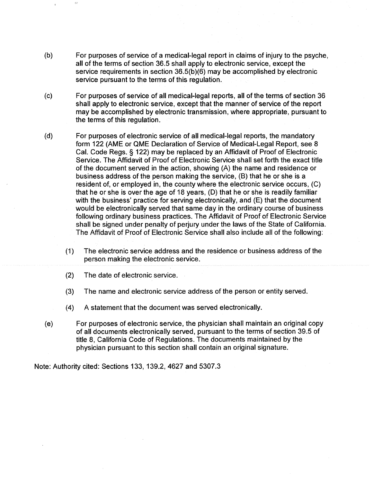- (b) For purposes of service of a medical-legal report in claims of injury to the psyche, all of the terms of section 36.5 shall apply to electronic service, except the service requirements in section 36.5(b)(6) may be accomplished by electronic service pursuant to the terms of this regulation..
- (c) For purposes of service of all medical-legal reports, all of the terms of section 36 shall apply to electronic service, except that the manner of service of the report may be accomplished by electronic transmission, where appropriate, pursuant to the terms of this regulation.
- (d) For purposes of electronic service of all medical-legal reports, the mandatory form 122 (AME or QME Declaration of Service of Medical-Legal Report, see 8 Cal. Code Regs. § 122) may be replaced by an Affidavit of Proof of Electronic Service. The Affidavit of Proof of Electronic Service shall set forth the exact title of the document served in the action, showing  $(A)$  the name and residence or business address of the person making the service, (B) that he or she is a resident of, or employed in, the county where the electronic service occurs, (C) that he or she is over the age of 18 years, (D) that he or she is readily familiar with the business' practice for serving electronically, and  $(E)$  that the document would be electronically served that same day in the ordinary course of business following ordinary business practices. The Affidavit of Proof of Electronic Service shall be signed under penalty of perjury under the laws of the State of California. The Affidavit of Proof of Electronic Service shall also include all of the following:
	- (1) The electronic service address and the residence ar business address of the person making the electronic service.
	- (2) The date of electronic service.
	- (3) The name and electronic service address of the person or entity served.
	- (4) A statement that the document was served electronically.
- (e) For purposes of electronic service, the physician shall maintain an original copy of all documents electronically served, pursuant to the terms of section 39.5 of title 8, California Code of Regulations. The documents maintained by the physician pursuant to this section shall contain an original signature.

Note: Authority cited: Sections 133, 139.2, 4627 and 5307.3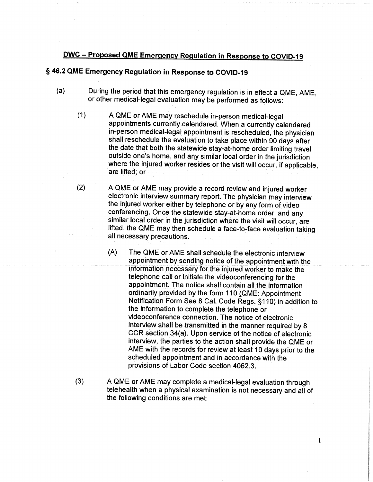## DWC —Proposed QME Emergencv Regulation in Response to COVID-19

### § 46.2 QME Emergency Regulation in Response to COVID-19

- (a) During the period that this emergency regulation is in effect a QME, AME, or other medical-legal evaluation may be performed as follows:
	- (1) A QME or AME may reschedule in-person medical-legal. appointments currently calendared. When a currently calendared in-person medical-legal appointment is rescheduled, the physician shall reschedule the evaluation to take place within 90 days after the date that both the statewide stay-at-home order limiting travel outside one's home, and any similar local order in the jurisdiction where the injured worker resides or the visit will occur, if applicable, are lifted; or
	- {2) A QME or AME may provide a record review and injured worker electronic interview summary report. The physician may interview the injured worker either by telephone or by any form of video conferencing. Once the statewide stay-at-home order, and any. similar local order in the jurisdiction where the visit will occur, are lifted, the QME may then schedule a face-to-face evaluation taking all necessary precautions.
		- (A) The QME or AME shall schedule the electronic interview appointment by sending notice of the appointment with the. information necessary for the injured worker to make the telephone call or initiate the videoconferencing for the appointment. The notice shall contain ali the information ordinarily provided by the form 110 (QME: Appointment Notification Form See 8 Cal. Code Regs. §1.10) in addition to the information to complete the telephone or videaconference connection. The notice of electronic interview shall be transmitted in the manner required by 8 CCR section 34(a). Upon service of the notice of electronic interview, the parties to the action shall provide the QME or AME with the records for review at least 10 days prior to the scheduled appointment and in accordance with the provisions of Labor Code section 4062.3.

 $\mathbf{I}$ 

(3) A QME or AME may complete amedical-legal evaluation through telehealth when a physical examination is not necessary and all of the following conditions are met: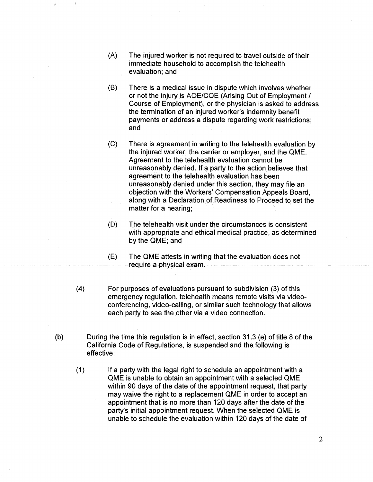- (R) The injured worker is not required to travel outside of their immediate household to accomplish the telehealth evaluation; and
- (B) There is a medical issue in dispute which involves whether or not the injury is AOE/COE (Arising Out of Employment / Course of Employment}, or the physician is asked to address the termination of an injured worker's indemnity benefit payments or address a dispute regarding work restrictions; and
- (C) There is agreement in writing to the telehealth evaluation by the injured worker, the carrier or employer, and the QME. Agreement to the telehealth evaluation cannot be unreasonably denied. If a party to the action believes that agreement to the telehealth evaluation has been unreasonably denied under this section, they may file an objection with the Workers' Compensation Appeals Board, along with a Declaration of Readiness to Proceed to set the matter for a hearing;
- (D) The telehealth visit under the circumstances is consistent with appropriate and ethical medical practice, as determined by the QME; and
- (E) The QME attests in writing that the evaluation does not require a physical exam.
- (4) For purposes of evaluations pursuant to subdivision (3) of this emergency regulation, telehealth means remote visits via videoconferencing, video-calling, or similar such technology that allows each party to see the other via a video connection.
- (b) During the time this regulation is in effect, section 31.3 (e) of title 8 of the California Code of Regulations, is suspended and the following is effective:
	- (1) If a party with the legal right to schedule an appointment with a QME is unable to obtain an appointment with a selected QME within 90 days of the date of the appointment request, that party may waive the right to a replacement QME in order to accept an appointment that is no more than 120 days after the date of the party's initial appointment request. When the selected QME is unable to schedule the evaluation within 120 days of the date of

 $\overline{2}$